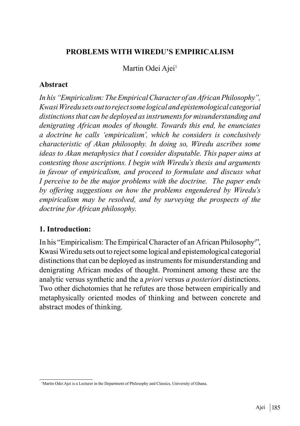#### **PROBLEMS WITH WIREDU'S EMPIRICALISM**

Martin Odei Ajei<sup>1</sup>

#### **Abstract**

*In his "Empiricalism: The Empirical Character of an African Philosophy", Kwasi Wiredu sets out to reject some logical and epistemological categorial distinctions that can be deployed as instruments for misunderstanding and denigrating African modes of thought. Towards this end, he enunciates a doctrine he calls 'empiricalism', which he considers is conclusively characteristic of Akan philosophy. In doing so, Wiredu ascribes some ideas to Akan metaphysics that I consider disputable. This paper aims at contesting those ascriptions. I begin with Wiredu's thesis and arguments in favour of empiricalism, and proceed to formulate and discuss what I perceive to be the major problems with the doctrine. The paper ends by offering suggestions on how the problems engendered by Wiredu's empiricalism may be resolved, and by surveying the prospects of the doctrine for African philosophy*.

#### **1. Introduction:**

In his "Empiricalism: The Empirical Character of an African Philosophyi ", Kwasi Wiredu sets out to reject some logical and epistemological categorial distinctions that can be deployed as instruments for misunderstanding and denigrating African modes of thought. Prominent among these are the analytic versus synthetic and the a *priori* versus *a posteriori* distinctions. Two other dichotomies that he refutes are those between empirically and metaphysically oriented modes of thinking and between concrete and abstract modes of thinking.

<sup>&</sup>lt;sup>1</sup>Martin Odei Ajei is a Lecturer in the Department of Philosophy and Classics, University of Ghana.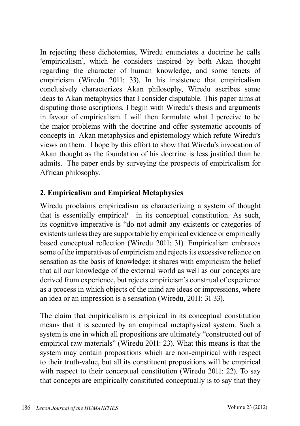In rejecting these dichotomies, Wiredu enunciates a doctrine he calls 'empiricalism', which he considers inspired by both Akan thought regarding the character of human knowledge, and some tenets of empiricism (Wiredu 2011: 33). In his insistence that empiricalism conclusively characterizes Akan philosophy, Wiredu ascribes some ideas to Akan metaphysics that I consider disputable. This paper aims at disputing those ascriptions. I begin with Wiredu's thesis and arguments in favour of empiricalism. I will then formulate what I perceive to be the major problems with the doctrine and offer systematic accounts of concepts in Akan metaphysics and epistemology which refute Wiredu's views on them. I hope by this effort to show that Wiredu's invocation of Akan thought as the foundation of his doctrine is less justified than he admits. The paper ends by surveying the prospects of empiricalism for African philosophy.

## **2. Empiricalism and Empirical Metaphysics**

Wiredu proclaims empiricalism as characterizing a system of thought that is essentially empiricalii in its conceptual constitution. As such, its cognitive imperative is "do not admit any existents or categories of existents unless they are supportable by empirical evidence or empirically based conceptual reflection (Wiredu 2011: 31). Empiricalism embraces some of the imperatives of empiricism and rejects its excessive reliance on sensation as the basis of knowledge: it shares with empiricism the belief that all our knowledge of the external world as well as our concepts are derived from experience, but rejects empiricism's construal of experience as a process in which objects of the mind are ideas or impressions, where an idea or an impression is a sensation (Wiredu, 2011: 31-33).

The claim that empiricalism is empirical in its conceptual constitution means that it is secured by an empirical metaphysical system. Such a system is one in which all propositions are ultimately "constructed out of empirical raw materials" (Wiredu 2011: 23). What this means is that the system may contain propositions which are non-empirical with respect to their truth-value, but all its constituent propositions will be empirical with respect to their conceptual constitution (Wiredu 2011: 22). To say that concepts are empirically constituted conceptually is to say that they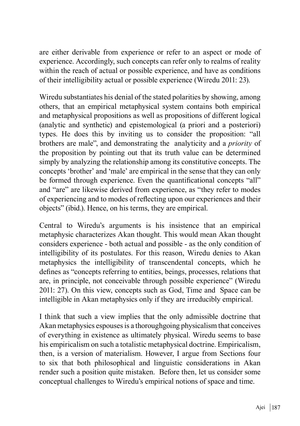are either derivable from experience or refer to an aspect or mode of experience. Accordingly, such concepts can refer only to realms of reality within the reach of actual or possible experience, and have as conditions of their intelligibility actual or possible experience (Wiredu 2011: 23).

Wiredu substantiates his denial of the stated polarities by showing, among others, that an empirical metaphysical system contains both empirical and metaphysical propositions as well as propositions of different logical (analytic and synthetic) and epistemological (a priori and a posteriori) types. He does this by inviting us to consider the proposition: "all brothers are male", and demonstrating the analyticity and a *priority* of the proposition by pointing out that its truth value can be determined simply by analyzing the relationship among its constitutive concepts. The concepts 'brother' and 'male' are empirical in the sense that they can only be formed through experience. Even the quantificational concepts "all" and "are" are likewise derived from experience, as "they refer to modes of experiencing and to modes of reflecting upon our experiences and their objects" (ibid.). Hence, on his terms, they are empirical.

Central to Wiredu's arguments is his insistence that an empirical metaphysic characterizes Akan thought. This would mean Akan thought considers experience - both actual and possible - as the only condition of intelligibility of its postulates. For this reason, Wiredu denies to Akan metaphysics the intelligibility of transcendental concepts, which he defines as "concepts referring to entities, beings, processes, relations that are, in principle, not conceivable through possible experience" (Wiredu 2011: 27). On this view, concepts such as God, Time and Space can be intelligible in Akan metaphysics only if they are irreducibly empirical.

I think that such a view implies that the only admissible doctrine that Akan metaphysics espouses is a thoroughgoing physicalism that conceives of everything in existence as ultimately physical. Wiredu seems to base his empiricalism on such a totalistic metaphysical doctrine. Empiricalism, then, is a version of materialism. However, I argue from Sections four to six that both philosophical and linguistic considerations in Akan render such a position quite mistaken. Before then, let us consider some conceptual challenges to Wiredu's empirical notions of space and time.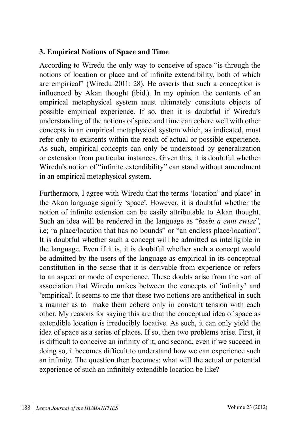## **3. Empirical Notions of Space and Time**

According to Wiredu the only way to conceive of space "is through the notions of location or place and of infinite extendibility, both of which are empirical" (Wiredu 2011: 28). He asserts that such a conception is influenced by Akan thought (ibid.). In my opinion the contents of an empirical metaphysical system must ultimately constitute objects of possible empirical experience. If so, then it is doubtful if Wiredu's understanding of the notions of space and time can cohere well with other concepts in an empirical metaphysical system which, as indicated, must refer only to existents within the reach of actual or possible experience. As such, empirical concepts can only be understood by generalization or extension from particular instances. Given this, it is doubtful whether Wiredu's notion of "infinite extendibility" can stand without amendment in an empirical metaphysical system.

Furthermore, I agree with Wiredu that the terms 'location' and place' in the Akan language signify 'space'. However, it is doubtful whether the notion of infinite extension can be easily attributable to Akan thought. Such an idea will be rendered in the language as "*bεεbi a enni εwieε*", i.e; "a place/location that has no bounds" or "an endless place/location". It is doubtful whether such a concept will be admitted as intelligible in the language. Even if it is, it is doubtful whether such a concept would be admitted by the users of the language as empirical in its conceptual constitution in the sense that it is derivable from experience or refers to an aspect or mode of experience. These doubts arise from the sort of association that Wiredu makes between the concepts of 'infinity' and 'empirical'. It seems to me that these two notions are antithetical in such a manner as to make them cohere only in constant tension with each other. My reasons for saying this are that the conceptual idea of space as extendible location is irreducibly locative. As such, it can only yield the idea of space as a series of places. If so, then two problems arise. First, it is difficult to conceive an infinity of it; and second, even if we succeed in doing so, it becomes difficult to understand how we can experience such an infinity. The question then becomes: what will the actual or potential experience of such an infinitely extendible location be like?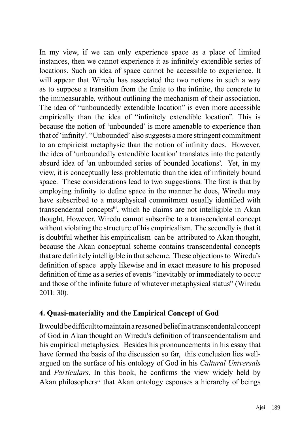In my view, if we can only experience space as a place of limited instances, then we cannot experience it as infinitely extendible series of locations. Such an idea of space cannot be accessible to experience. It will appear that Wiredu has associated the two notions in such a way as to suppose a transition from the finite to the infinite, the concrete to the immeasurable, without outlining the mechanism of their association. The idea of "unboundedly extendible location" is even more accessible empirically than the idea of "infinitely extendible location". This is because the notion of 'unbounded' is more amenable to experience than that of 'infinity'. "Unbounded' also suggests a more stringent commitment to an empiricist metaphysic than the notion of infinity does. However, the idea of 'unboundedly extendible location' translates into the patently absurd idea of 'an unbounded series of bounded locations'. Yet, in my view, it is conceptually less problematic than the idea of infinitely bound space. These considerations lead to two suggestions. The first is that by employing infinity to define space in the manner he does, Wiredu may have subscribed to a metaphysical commitment usually identified with transcendental conceptsiii, which he claims are not intelligible in Akan thought. However, Wiredu cannot subscribe to a transcendental concept without violating the structure of his empiricalism. The secondly is that it is doubtful whether his empiricalism can be attributed to Akan thought, because the Akan conceptual scheme contains transcendental concepts that are definitely intelligible in that scheme. These objections to Wiredu's definition of space apply likewise and in exact measure to his proposed definition of time as a series of events "inevitably or immediately to occur and those of the infinite future of whatever metaphysical status" (Wiredu 2011: 30).

#### **4. Quasi-materiality and the Empirical Concept of God**

It would be difficult to maintain a reasoned belief in a transcendental concept of God in Akan thought on Wiredu's definition of transcendentalism and his empirical metaphysics. Besides his pronouncements in his essay that have formed the basis of the discussion so far, this conclusion lies wellargued on the surface of his ontology of God in his *Cultural Universals*  and *Particulars*. In this book, he confirms the view widely held by Akan philosophersiv that Akan ontology espouses a hierarchy of beings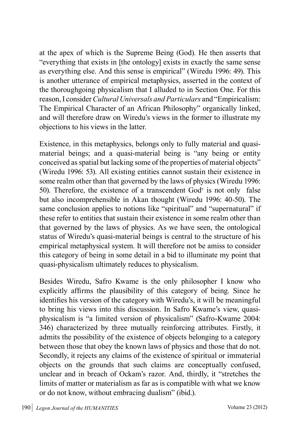at the apex of which is the Supreme Being (God). He then asserts that "everything that exists in [the ontology] exists in exactly the same sense as everything else. And this sense is empirical" (Wiredu 1996: 49). This is another utterance of empirical metaphysics, asserted in the context of the thoroughgoing physicalism that I alluded to in Section One. For this reason, I consider *Cultural Universals and Particulars* and "Empiricalism: The Empirical Character of an African Philosophy" organically linked, and will therefore draw on Wiredu's views in the former to illustrate my objections to his views in the latter.

Existence, in this metaphysics, belongs only to fully material and quasimaterial beings; and a quasi-material being is "any being or entity conceived as spatial but lacking some of the properties of material objects" (Wiredu 1996: 53). All existing entities cannot sustain their existence in some realm other than that governed by the laws of physics (Wiredu 1996: 50). Therefore, the existence of a transcendent  $God<sup>v</sup>$  is not only false but also incomprehensible in Akan thought (Wiredu 1996: 40-50). The same conclusion applies to notions like "spiritual" and "supernatural" if these refer to entities that sustain their existence in some realm other than that governed by the laws of physics. As we have seen, the ontological status of Wiredu's quasi-material beings is central to the structure of his empirical metaphysical system. It will therefore not be amiss to consider this category of being in some detail in a bid to illuminate my point that quasi-physicalism ultimately reduces to physicalism.

Besides Wiredu, Safro Kwame is the only philosopher I know who explicitly affirms the plausibility of this category of being. Since he identifies his version of the category with Wiredu's, it will be meaningful to bring his views into this discussion. In Safro Kwame's view, quasiphysicalism is "a limited version of physicalism" (Safro-Kwame 2004: 346) characterized by three mutually reinforcing attributes. Firstly, it admits the possibility of the existence of objects belonging to a category between those that obey the known laws of physics and those that do not. Secondly, it rejects any claims of the existence of spiritual or immaterial objects on the grounds that such claims are conceptually confused, unclear and in breach of Ockam's razor. And, thirdly, it "stretches the limits of matter or materialism as far as is compatible with what we know or do not know, without embracing dualism" (ibid.).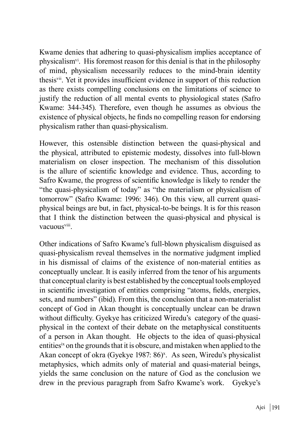Kwame denies that adhering to quasi-physicalism implies acceptance of physicalismvi. His foremost reason for this denial is that in the philosophy of mind, physicalism necessarily reduces to the mind-brain identity thesisvii. Yet it provides insufficient evidence in support of this reduction as there exists compelling conclusions on the limitations of science to justify the reduction of all mental events to physiological states (Safro Kwame: 344-345). Therefore, even though he assumes as obvious the existence of physical objects, he finds no compelling reason for endorsing physicalism rather than quasi-physicalism.

However, this ostensible distinction between the quasi-physical and the physical, attributed to epistemic modesty, dissolves into full-blown materialism on closer inspection. The mechanism of this dissolution is the allure of scientific knowledge and evidence. Thus, according to Safro Kwame, the progress of scientific knowledge is likely to render the "the quasi-physicalism of today" as "the materialism or physicalism of tomorrow" (Safro Kwame: 1996: 346). On this view, all current quasiphysical beings are but, in fact, physical-to-be beings. It is for this reason that I think the distinction between the quasi-physical and physical is vacuousviii.

Other indications of Safro Kwame's full-blown physicalism disguised as quasi-physicalism reveal themselves in the normative judgment implied in his dismissal of claims of the existence of non-material entities as conceptually unclear. It is easily inferred from the tenor of his arguments that conceptual clarity is best established by the conceptual tools employed in scientific investigation of entities comprising "atoms, fields, energies, sets, and numbers" (ibid). From this, the conclusion that a non-materialist concept of God in Akan thought is conceptually unclear can be drawn without difficulty. Gyekye has criticized Wiredu's category of the quasiphysical in the context of their debate on the metaphysical constituents of a person in Akan thought. He objects to the idea of quasi-physical entitiesix on the grounds that it is obscure, and mistaken when applied to the Akan concept of okra (Gyekye 1987: 86)<sup>x</sup>. As seen, Wiredu's physicalist metaphysics, which admits only of material and quasi-material beings, yields the same conclusion on the nature of God as the conclusion we drew in the previous paragraph from Safro Kwame's work. Gyekye's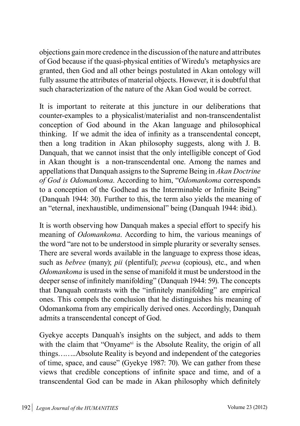objections gain more credence in the discussion of the nature and attributes of God because if the quasi-physical entities of Wiredu's metaphysics are granted, then God and all other beings postulated in Akan ontology will fully assume the attributes of material objects. However, it is doubtful that such characterization of the nature of the Akan God would be correct.

It is important to reiterate at this juncture in our deliberations that counter-examples to a physicalist/materialist and non-transcendentalist conception of God abound in the Akan language and philosophical thinking. If we admit the idea of infinity as a transcendental concept, then a long tradition in Akan philosophy suggests, along with J. B. Danquah, that we cannot insist that the only intelligible concept of God in Akan thought is a non-transcendental one. Among the names and appellations that Danquah assigns to the Supreme Being in *Akan Doctrine of God is Odomankoma*. According to him, "*Odomankoma* corresponds to a conception of the Godhead as the Interminable or Infinite Being" (Danquah 1944: 30). Further to this, the term also yields the meaning of an "eternal, inexhaustible, undimensional" being (Danquah 1944: ibid.).

It is worth observing how Danquah makes a special effort to specify his meaning of *Odomankoma*. According to him, the various meanings of the word "are not to be understood in simple plurarity or severalty senses. There are several words available in the language to express those ideas, such as *bebree* (many); *pii* (plentiful); *peewa* (copious), etc., and when *Odomankoma* is used in the sense of manifold it must be understood in the deeper sense of infinitely manifolding" (Danquah 1944: 59). The concepts that Danquah contrasts with the "infinitely manifolding" are empirical ones. This compels the conclusion that he distinguishes his meaning of Odomankoma from any empirically derived ones. Accordingly, Danquah admits a transcendental concept of God.

Gyekye accepts Danquah's insights on the subject, and adds to them with the claim that "Onyame<sup>xi</sup> is the Absolute Reality, the origin of all things……..Absolute Reality is beyond and independent of the categories of time, space, and cause" (Gyekye 1987: 70). We can gather from these views that credible conceptions of infinite space and time, and of a transcendental God can be made in Akan philosophy which definitely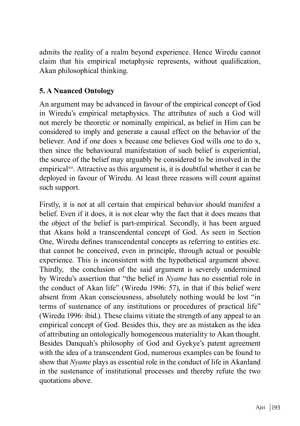admits the reality of a realm beyond experience. Hence Wiredu cannot claim that his empirical metaphysic represents, without qualification, Akan philosophical thinking.

## **5. A Nuanced Ontology**

An argument may be advanced in favour of the empirical concept of God in Wiredu's empirical metaphysics. The attributes of such a God will not merely be theoretic or nominally empirical, as belief in Him can be considered to imply and generate a causal effect on the behavior of the believer. And if one does x because one believes God wills one to do x, then since the behavioural manifestation of such belief is experiential, the source of the belief may arguably be considered to be involved in the empirical<sup>xii</sup>. Attractive as this argument is, it is doubtful whether it can be deployed in favour of Wiredu. At least three reasons will count against such support.

Firstly, it is not at all certain that empirical behavior should manifest a belief. Even if it does, it is not clear why the fact that it does means that the object of the belief is part-empirical. Secondly, it has been argued that Akans hold a transcendental concept of God. As seen in Section One, Wiredu defines transcendental concepts as referring to entities etc. that cannot be conceived, even in principle, through actual or possible experience. This is inconsistent with the hypothetical argument above. Thirdly, the conclusion of the said argument is severely undermined by Wiredu's assertion that "the belief in *Nyame* has no essential role in the conduct of Akan life" (Wiredu 1996: 57), in that if this belief were absent from Akan consciousness, absolutely nothing would be lost "in terms of sustenance of any institutions or procedures of practical life" (Wiredu 1996: ibid.). These claims vitiate the strength of any appeal to an empirical concept of God. Besides this, they are as mistaken as the idea of attributing an ontologically homogeneous materiality to Akan thought. Besides Danquah's philosophy of God and Gyekye's patent agreement with the idea of a transcendent God, numerous examples can be found to show that *Nyame* plays as essential role in the conduct of life in Akanland in the sustenance of institutional processes and thereby refute the two quotations above.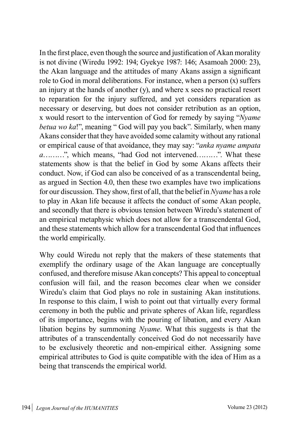In the first place, even though the source and justification of Akan morality is not divine (Wiredu 1992: 194; Gyekye 1987: 146; Asamoah 2000: 23), the Akan language and the attitudes of many Akans assign a significant role to God in moral deliberations. For instance, when a person (x) suffers an injury at the hands of another (y), and where x sees no practical resort to reparation for the injury suffered, and yet considers reparation as necessary or deserving, but does not consider retribution as an option, x would resort to the intervention of God for remedy by saying "*Nyame betua wo ka*!", meaning " God will pay you back". Similarly, when many Akans consider that they have avoided some calamity without any rational or empirical cause of that avoidance, they may say: "*anka nyame ampata a*………", which means, "had God not intervened………". What these statements show is that the belief in God by some Akans affects their conduct. Now, if God can also be conceived of as a transcendental being, as argued in Section 4.0, then these two examples have two implications for our discussion. They show, first of all, that the belief in *Nyame* has a role to play in Akan life because it affects the conduct of some Akan people, and secondly that there is obvious tension between Wiredu's statement of an empirical metaphysic which does not allow for a transcendental God, and these statements which allow for a transcendental God that influences the world empirically.

Why could Wiredu not reply that the makers of these statements that exemplify the ordinary usage of the Akan language are conceptually confused, and therefore misuse Akan concepts? This appeal to conceptual confusion will fail, and the reason becomes clear when we consider Wiredu's claim that God plays no role in sustaining Akan institutions. In response to this claim, I wish to point out that virtually every formal ceremony in both the public and private spheres of Akan life, regardless of its importance, begins with the pouring of libation, and every Akan libation begins by summoning *Nyame*. What this suggests is that the attributes of a transcendentally conceived God do not necessarily have to be exclusively theoretic and non-empirical either. Assigning some empirical attributes to God is quite compatible with the idea of Him as a being that transcends the empirical world.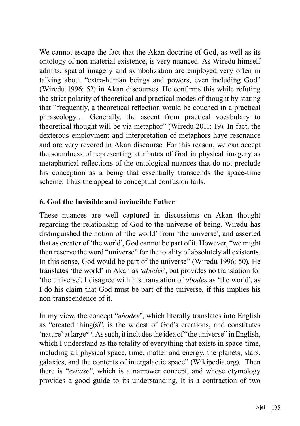We cannot escape the fact that the Akan doctrine of God, as well as its ontology of non-material existence, is very nuanced. As Wiredu himself admits, spatial imagery and symbolization are employed very often in talking about "extra-human beings and powers, even including God" (Wiredu 1996: 52) in Akan discourses. He confirms this while refuting the strict polarity of theoretical and practical modes of thought by stating that "frequently, a theoretical reflection would be couched in a practical phraseology…. Generally, the ascent from practical vocabulary to theoretical thought will be via metaphor" (Wiredu 2011: 19). In fact, the dexterous employment and interpretation of metaphors have resonance and are very revered in Akan discourse. For this reason, we can accept the soundness of representing attributes of God in physical imagery as metaphorical reflections of the ontological nuances that do not preclude his conception as a being that essentially transcends the space-time scheme. Thus the appeal to conceptual confusion fails.

## **6. God the Invisible and invincible Father**

These nuances are well captured in discussions on Akan thought regarding the relationship of God to the universe of being. Wiredu has distinguished the notion of 'the world' from 'the universe', and asserted that as creator of 'the world', God cannot be part of it. However, "we might then reserve the word "universe" for the totality of absolutely all existents. In this sense, God would be part of the universe" (Wiredu 1996: 50). He translates 'the world' in Akan as '*abodeε*', but provides no translation for 'the universe'. I disagree with his translation of *abodeε* as 'the world', as I do his claim that God must be part of the universe, if this implies his non-transcendence of it.

In my view, the concept "*abodeε*", which literally translates into English as "created thing(s)", is the widest of God's creations, and constitutes 'nature' at largexiii. As such, it includes the idea of "the universe" in English, which I understand as the totality of everything that exists in space-time, including all physical space, time, matter and energy, the planets, stars, galaxies, and the contents of intergalactic space" (Wikipedia.org). Then there is "*ewiase*", which is a narrower concept, and whose etymology provides a good guide to its understanding. It is a contraction of two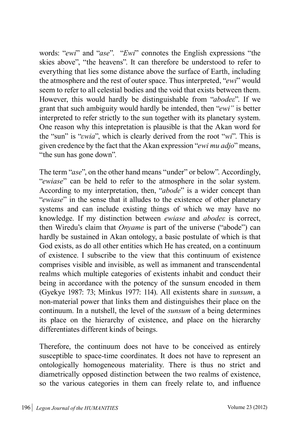words: "*ewi*" and "*ase*". "*Ewi*" connotes the English expressions "the skies above", "the heavens". It can therefore be understood to refer to everything that lies some distance above the surface of Earth, including the atmosphere and the rest of outer space. Thus interpreted, "*ewi*" would seem to refer to all celestial bodies and the void that exists between them. However, this would hardly be distinguishable from "*abodeε*". If we grant that such ambiguity would hardly be intended, then "*ewi"* is better interpreted to refer strictly to the sun together with its planetary system. One reason why this intepretation is plausible is that the Akan word for the "sun" is "*εwia*", which is clearly derived from the root "*wi*". This is given credence by the fact that the Akan expression "*ewi mu adjo*" means, "the sun has gone down".

The term "*ase*", on the other hand means "under" or below". Accordingly, "*ewiase*" can be held to refer to the atmosphere in the solar system. According to my interpretation, then, "*abode*" is a wider concept than "*ewiase*" in the sense that it alludes to the existence of other planetary systems and can include existing things of which we may have no knowledge. If my distinction between *ewiase* and *abodeε* is correct, then Wiredu's claim that *Onyame* is part of the universe ("abode") can hardly be sustained in Akan ontology, a basic postulate of which is that God exists, as do all other entities which He has created, on a continuum of existence. I subscribe to the view that this continuum of existence comprises visible and invisible, as well as immanent and transcendental realms which multiple categories of existents inhabit and conduct their being in accordance with the potency of the sunsum encoded in them (Gyekye 1987: 73; Minkus 1977: 114). All existents share in *sunsum*, a non-material power that links them and distinguishes their place on the continuum. In a nutshell, the level of the *sunsum* of a being determines its place on the hierarchy of existence, and place on the hierarchy differentiates different kinds of beings.

Therefore, the continuum does not have to be conceived as entirely susceptible to space-time coordinates. It does not have to represent an ontologically homogeneous materiality. There is thus no strict and diametrically opposed distinction between the two realms of existence, so the various categories in them can freely relate to, and influence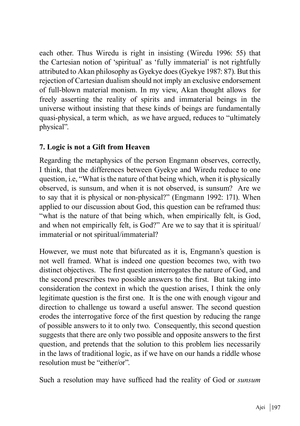each other. Thus Wiredu is right in insisting (Wiredu 1996: 55) that the Cartesian notion of 'spiritual' as 'fully immaterial' is not rightfully attributed to Akan philosophy as Gyekye does (Gyekye 1987: 87). But this rejection of Cartesian dualism should not imply an exclusive endorsement of full-blown material monism. In my view, Akan thought allows for freely asserting the reality of spirits and immaterial beings in the universe without insisting that these kinds of beings are fundamentally quasi-physical, a term which, as we have argued, reduces to "ultimately physical".

# **7. Logic is not a Gift from Heaven**

Regarding the metaphysics of the person Engmann observes, correctly, I think, that the differences between Gyekye and Wiredu reduce to one question, i.e, "What is the nature of that being which, when it is physically observed, is sunsum, and when it is not observed, is sunsum? Are we to say that it is physical or non-physical?" (Engmann 1992: 171). When applied to our discussion about God, this question can be reframed thus: "what is the nature of that being which, when empirically felt, is God, and when not empirically felt, is God?" Are we to say that it is spiritual/ immaterial or not spiritual/immaterial?

However, we must note that bifurcated as it is, Engmann's question is not well framed. What is indeed one question becomes two, with two distinct objectives. The first question interrogates the nature of God, and the second prescribes two possible answers to the first. But taking into consideration the context in which the question arises, I think the only legitimate question is the first one. It is the one with enough vigour and direction to challenge us toward a useful answer. The second question erodes the interrogative force of the first question by reducing the range of possible answers to it to only two. Consequently, this second question suggests that there are only two possible and opposite answers to the first question, and pretends that the solution to this problem lies necessarily in the laws of traditional logic, as if we have on our hands a riddle whose resolution must be "either/or".

Such a resolution may have sufficed had the reality of God or *sunsum*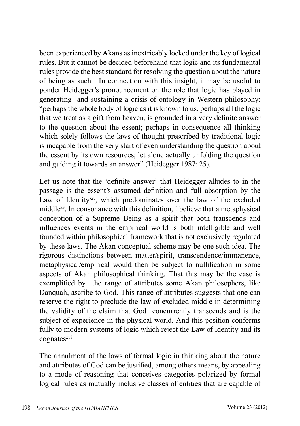been experienced by Akans as inextricably locked under the key of logical rules. But it cannot be decided beforehand that logic and its fundamental rules provide the best standard for resolving the question about the nature of being as such. In connection with this insight, it may be useful to ponder Heidegger's pronouncement on the role that logic has played in generating and sustaining a crisis of ontology in Western philosophy: "perhaps the whole body of logic as it is known to us, perhaps all the logic that we treat as a gift from heaven, is grounded in a very definite answer to the question about the essent; perhaps in consequence all thinking which solely follows the laws of thought prescribed by traditional logic is incapable from the very start of even understanding the question about the essent by its own resources; let alone actually unfolding the question and guiding it towards an answer" (Heidegger 1987: 25).

Let us note that the 'definite answer' that Heidegger alludes to in the passage is the essent's assumed definition and full absorption by the Law of Identity<sup>xiv</sup>, which predominates over the law of the excluded middlexv. In consonance with this definition, I believe that a metaphysical conception of a Supreme Being as a spirit that both transcends and influences events in the empirical world is both intelligible and well founded within philosophical framework that is not exclusively regulated by these laws. The Akan conceptual scheme may be one such idea. The rigorous distinctions between matter/spirit, transcendence/immanence, metaphysical/empirical would then be subject to nullification in some aspects of Akan philosophical thinking. That this may be the case is exemplified by the range of attributes some Akan philosophers, like Danquah, ascribe to God. This range of attributes suggests that one can reserve the right to preclude the law of excluded middle in determining the validity of the claim that God concurrently transcends and is the subject of experience in the physical world. And this position conforms fully to modern systems of logic which reject the Law of Identity and its cognates<sup>xvi</sup>.

The annulment of the laws of formal logic in thinking about the nature and attributes of God can be justified, among others means, by appealing to a mode of reasoning that conceives categories polarized by formal logical rules as mutually inclusive classes of entities that are capable of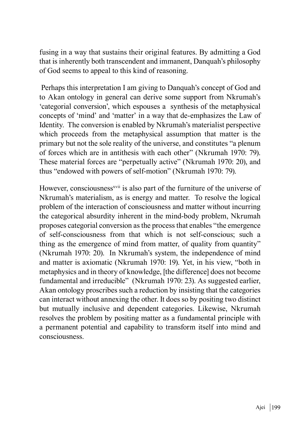fusing in a way that sustains their original features. By admitting a God that is inherently both transcendent and immanent, Danquah's philosophy of God seems to appeal to this kind of reasoning.

 Perhaps this interpretation I am giving to Danquah's concept of God and to Akan ontology in general can derive some support from Nkrumah's 'categorial conversion', which espouses a synthesis of the metaphysical concepts of 'mind' and 'matter' in a way that de-emphasizes the Law of Identity. The conversion is enabled by Nkrumah's materialist perspective which proceeds from the metaphysical assumption that matter is the primary but not the sole reality of the universe, and constitutes "a plenum of forces which are in antithesis with each other" (Nkrumah 1970: 79). These material forces are "perpetually active" (Nkrumah 1970: 20), and thus "endowed with powers of self-motion" (Nkrumah 1970: 79).

However, consciousness<sup>xvii</sup> is also part of the furniture of the universe of Nkrumah's materialism, as is energy and matter. To resolve the logical problem of the interaction of consciousness and matter without incurring the categorical absurdity inherent in the mind-body problem, Nkrumah proposes categorial conversion as the process that enables "the emergence of self-consciousness from that which is not self-conscious; such a thing as the emergence of mind from matter, of quality from quantity" (Nkrumah 1970: 20). In Nkrumah's system, the independence of mind and matter is axiomatic (Nkrumah 1970: 19). Yet, in his view, "both in metaphysics and in theory of knowledge, [the difference] does not become fundamental and irreducible" (Nkrumah 1970: 23). As suggested earlier, Akan ontology proscribes such a reduction by insisting that the categories can interact without annexing the other. It does so by positing two distinct but mutually inclusive and dependent categories. Likewise, Nkrumah resolves the problem by positing matter as a fundamental principle with a permanent potential and capability to transform itself into mind and consciousness.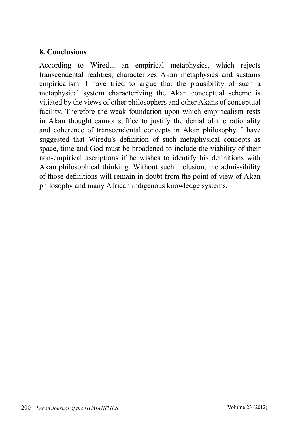## **8. Conclusions**

According to Wiredu, an empirical metaphysics, which rejects transcendental realities, characterizes Akan metaphysics and sustains empiricalism. I have tried to argue that the plausibility of such a metaphysical system characterizing the Akan conceptual scheme is vitiated by the views of other philosophers and other Akans of conceptual facility. Therefore the weak foundation upon which empiricalism rests in Akan thought cannot suffice to justify the denial of the rationality and coherence of transcendental concepts in Akan philosophy. I have suggested that Wiredu's definition of such metaphysical concepts as space, time and God must be broadened to include the viability of their non-empirical ascriptions if he wishes to identify his definitions with Akan philosophical thinking. Without such inclusion, the admissibility of those definitions will remain in doubt from the point of view of Akan philosophy and many African indigenous knowledge systems.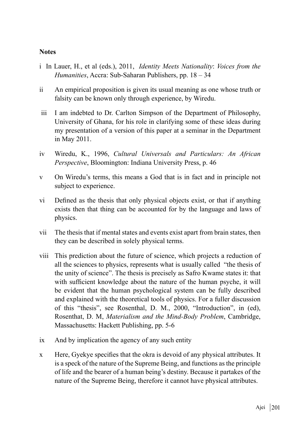#### **Notes**

- i In Lauer, H., et al (eds.), 2011, *Identity Meets Nationality*: *Voices from the Humanities*, Accra: Sub-Saharan Publishers, pp. 18 – 34
- ii An empirical proposition is given its usual meaning as one whose truth or falsity can be known only through experience, by Wiredu.
- iii I am indebted to Dr. Carlton Simpson of the Department of Philosophy, University of Ghana, for his role in clarifying some of these ideas during my presentation of a version of this paper at a seminar in the Department in May 2011.
- iv Wiredu, K., 1996, *Cultural Universals and Particulars: An African Perspective*, Bloomington: Indiana University Press, p. 46
- v On Wiredu's terms, this means a God that is in fact and in principle not subject to experience.
- vi Defined as the thesis that only physical objects exist, or that if anything exists then that thing can be accounted for by the language and laws of physics.
- vii The thesis that if mental states and events exist apart from brain states, then they can be described in solely physical terms.
- viii This prediction about the future of science, which projects a reduction of all the sciences to physics, represents what is usually called "the thesis of the unity of science". The thesis is precisely as Safro Kwame states it: that with sufficient knowledge about the nature of the human psyche, it will be evident that the human psychological system can be fully described and explained with the theoretical tools of physics. For a fuller discussion of this "thesis", see Rosenthal, D. M., 2000, "Introduction", in (ed), Rosenthat, D. M, *Materialism and the Mind-Body Problem*, Cambridge, Massachusetts: Hackett Publishing, pp. 5-6
- ix And by implication the agency of any such entity
- x Here, Gyekye specifies that the okra is devoid of any physical attributes. It is a speck of the nature of the Supreme Being, and functions as the principle of life and the bearer of a human being's destiny. Because it partakes of the nature of the Supreme Being, therefore it cannot have physical attributes.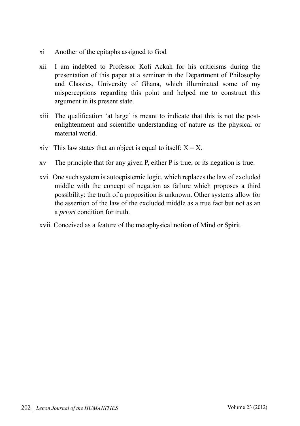- xi Another of the epitaphs assigned to God
- xii I am indebted to Professor Kofi Ackah for his criticisms during the presentation of this paper at a seminar in the Department of Philosophy and Classics, University of Ghana, which illuminated some of my misperceptions regarding this point and helped me to construct this argument in its present state.
- xiii The qualification 'at large' is meant to indicate that this is not the postenlightenment and scientific understanding of nature as the physical or material world.
- xiv This law states that an object is equal to itself:  $X = X$ .
- xv The principle that for any given P, either P is true, or its negation is true.
- xvi One such system is autoepistemic logic, which replaces the law of excluded middle with the concept of negation as failure which proposes a third possibility: the truth of a proposition is unknown. Other systems allow for the assertion of the law of the excluded middle as a true fact but not as an a *priori* condition for truth.
- xvii Conceived as a feature of the metaphysical notion of Mind or Spirit.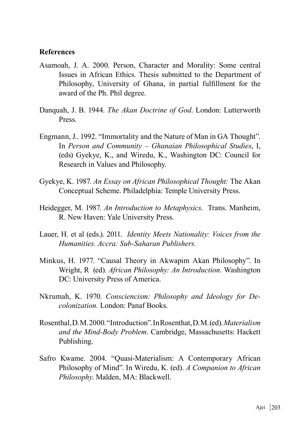#### **References**

- Asamoah, J. A. 2000. Person, Character and Morality: Some central Issues in African Ethics. Thesis submitted to the Department of Philosophy, University of Ghana, in partial fulfillment for the award of the Ph. Phil degree.
- Danquah, J. B. 1944. *The Akan Doctrine of God*. London: Lutterworth Press.
- Engmann, J.. 1992. "Immortality and the Nature of Man in GA Thought". In *Person and Community – Ghanaian Philosophical Studies*, I, (eds) Gyekye, K., and Wiredu, K., Washington DC: Council for Research in Values and Philosophy.
- Gyekye, K. 1987. *An Essay on African Philosophical Thought:* The Akan Conceptual Scheme. Philadelphia: Temple University Press.
- Heidegger, M. 1987. *An Introduction to Metaphysics*. Trans. Manheim, R. New Haven: Yale University Press.
- Lauer, H. et al (eds.). 2011. *Identity Meets Nationality: Voices from the Humanities. Accra: Sub-Saharan Publishers.*
- Minkus, H. 1977. "Causal Theory in Akwapim Akan Philosophy". In Wright, R (ed). *African Philosophy: An Introduction.* Washington DC: University Press of America.
- Nkrumah, K. 1970. *Consciencism: Philosophy and Ideology for Decolonization.* London: Panaf Books.
- Rosenthal, D. M. 2000. "Introduction". In Rosenthat, D. M. (ed). *Materialism and the Mind-Body Problem*. Cambridge, Massachusetts: Hackett Publishing.
- Safro Kwame. 2004. "Quasi-Materialism: A Contemporary African Philosophy of Mind". In Wiredu, K. (ed). *A Companion to African Philosophy*. Malden, MA: Blackwell.